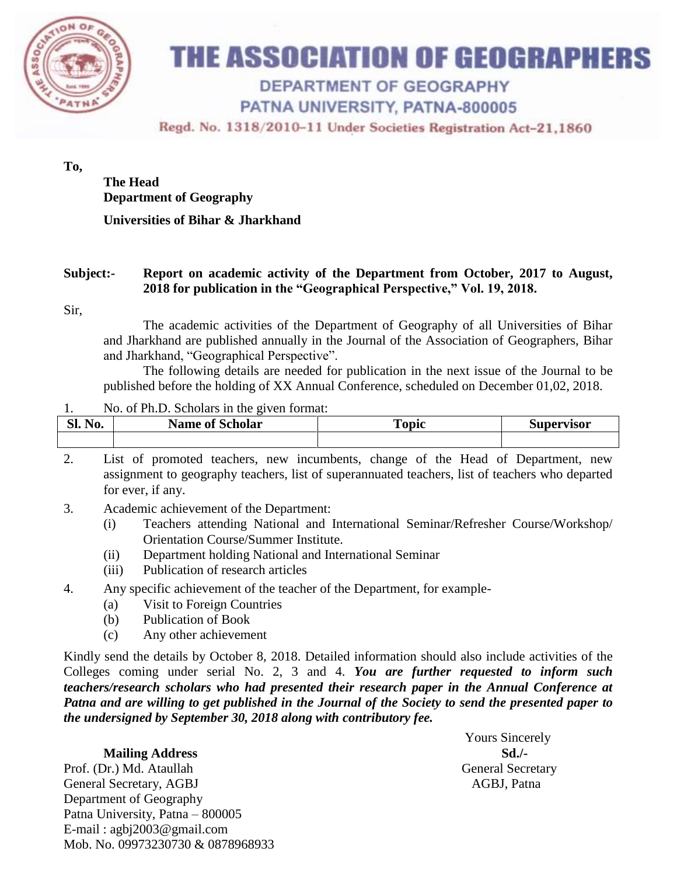

# THE ASSOCIATION OF GEOGRAPHERS

## **DEPARTMENT OF GEOGRAPHY**

### PATNA UNIVERSITY, PATNA-800005

Regd. No. 1318/2010-11 Under Societies Registration Act-21,1860

#### **To,**

### **The Head Department of Geography**

#### **Universities of Bihar & Jharkhand**

#### **Subject:- Report on academic activity of the Department from October, 2017 to August, 2018 for publication in the "Geographical Perspective," Vol. 19, 2018.**

Sir,

The academic activities of the Department of Geography of all Universities of Bihar and Jharkhand are published annually in the Journal of the Association of Geographers, Bihar and Jharkhand, "Geographical Perspective".

The following details are needed for publication in the next issue of the Journal to be published before the holding of XX Annual Conference, scheduled on December 01,02, 2018.

#### 1. No. of Ph.D. Scholars in the given format:

| $\overline{\phantom{a}}$<br>C١<br>N <sub>0</sub><br>ы. | <b>Name of Scholar</b> | Topic | Supervisor |
|--------------------------------------------------------|------------------------|-------|------------|
|                                                        |                        |       |            |

2. List of promoted teachers, new incumbents, change of the Head of Department, new assignment to geography teachers, list of superannuated teachers, list of teachers who departed for ever, if any.

- 3. Academic achievement of the Department:
	- (i) Teachers attending National and International Seminar/Refresher Course/Workshop/ Orientation Course/Summer Institute.
	- (ii) Department holding National and International Seminar
	- (iii) Publication of research articles
- 4. Any specific achievement of the teacher of the Department, for example-
	- (a) Visit to Foreign Countries
	- (b) Publication of Book
	- (c) Any other achievement

Kindly send the details by October 8, 2018. Detailed information should also include activities of the Colleges coming under serial No. 2, 3 and 4. *You are further requested to inform such teachers/research scholars who had presented their research paper in the Annual Conference at Patna and are willing to get published in the Journal of the Society to send the presented paper to the undersigned by September 30, 2018 along with contributory fee.*

#### **Mailing Address Sd./-**

Prof. (Dr.) Md. Ataullah General Secretary General Secretary, AGBJ AGBI, Patna Department of Geography Patna University, Patna – 800005 E-mail : agbj2003@gmail.com Mob. No. 09973230730 & 0878968933

Yours Sincerely